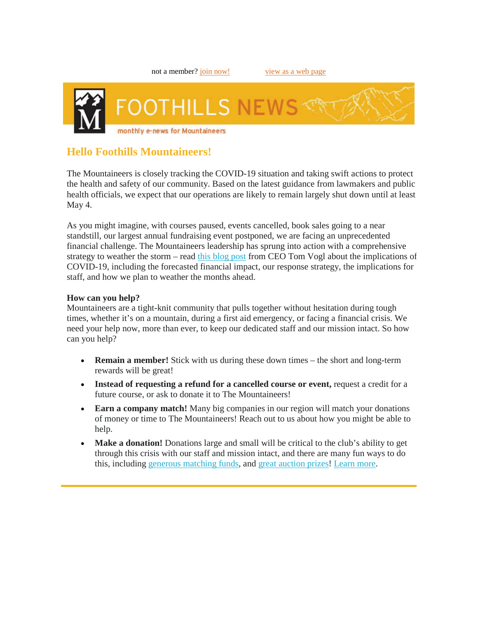

# **Hello Foothills Mountaineers!**

The Mountaineers is closely tracking the COVID-19 situation and taking swift actions to protect the health and safety of our community. Based on the latest guidance from lawmakers and public health officials, we expect that our operations are likely to remain largely shut down until at least May 4.

As you might imagine, with courses paused, events cancelled, book sales going to a near standstill, our largest annual fundraising event postponed, we are facing an unprecedented financial challenge. The Mountaineers leadership has sprung into action with a comprehensive strategy to weather the storm – read [this blog post](https://www.mountaineers.org/blog/ceo-update-the-mountaineers-response-to-covid-19) from CEO Tom Vogl about the implications of COVID-19, including the forecasted financial impact, our response strategy, the implications for staff, and how we plan to weather the months ahead.

### **How can you help?**

Mountaineers are a tight-knit community that pulls together without hesitation during tough times, whether it's on a mountain, during a first aid emergency, or facing a financial crisis. We need your help now, more than ever, to keep our dedicated staff and our mission intact. So how can you help?

- **Remain a member!** Stick with us during these down times the short and long-term rewards will be great!
- **Instead of requesting a refund for a cancelled course or event,** request a credit for a future course, or ask to donate it to The Mountaineers!
- **Earn a company match!** Many big companies in our region will match your donations of money or time to The Mountaineers! Reach out to us about how you might be able to help.
- **Make a donation!** Donations large and small will be critical to the club's ability to get through this crisis with our staff and mission intact, and there are many fun ways to do this, including [generous matching funds,](https://www.mountaineers.org/blog/we-challenge-you-to-a-match) and [great auction prizes!](https://supporter.greatergiving.com/Login?AT=8&PK=8Eg5It1B1xXLj2dF&ReturnUrl=https%3A%2F%2Fthemountaineersonlinegalaauction2020.ggo.bid%2Fbidding%2Fpackage-browse) [Learn more.](https://www.mountaineers.org/donate/other-giving-options/the-mountaineers-gala-2020-virtual-donation)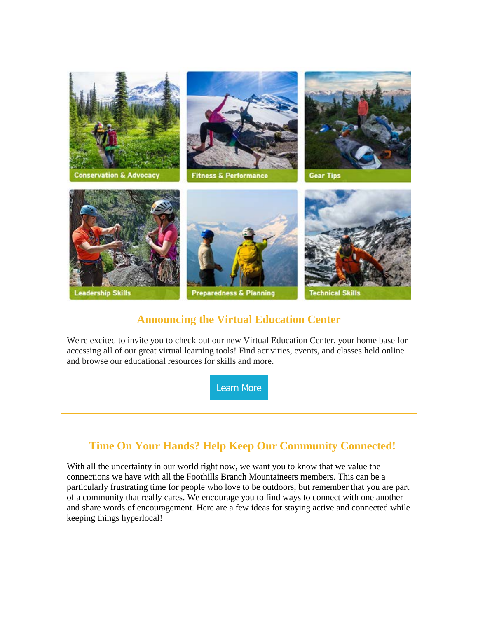

# **Announcing the Virtual Education Center**

We're excited to invite you to check out our new Virtual Education Center, your home base for accessing all of our great virtual learning tools! Find activities, events, and classes held online and browse our educational resources for skills and more.

[Learn](https://www.mountaineers.org/blog/introducing-the-virtual-education-center-calendar) More

# **Time On Your Hands? Help Keep Our Community Connected!**

With all the uncertainty in our world right now, we want you to know that we value the connections we have with all the Foothills Branch Mountaineers members. This can be a particularly frustrating time for people who love to be outdoors, but remember that you are part of a community that really cares. We encourage you to find ways to connect with one another and share words of encouragement. Here are a few ideas for staying active and connected while keeping things hyperlocal!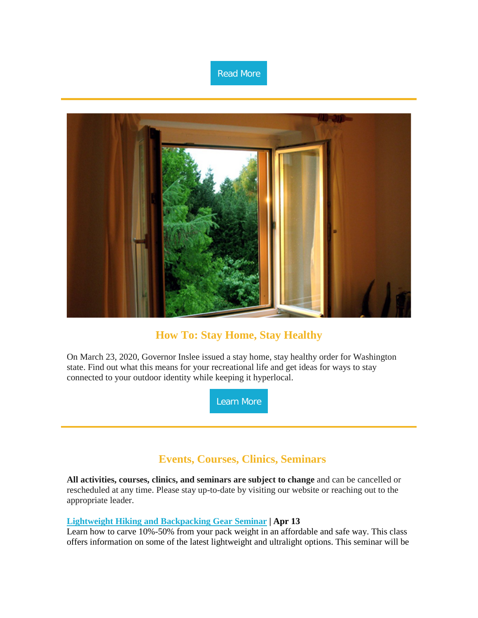



### **How To: Stay Home, Stay Healthy**

On March 23, 2020, Governor Inslee issued a stay home, stay healthy order for Washington state. Find out what this means for your recreational life and get ideas for ways to stay connected to your outdoor identity while keeping it hyperlocal.

[Learn](https://www.mountaineers.org/blog/how-to-stay-home-stay-healthy) More

# **Events, Courses, Clinics, Seminars**

**All activities, courses, clinics, and seminars are subject to change** and can be cancelled or rescheduled at any time. Please stay up-to-date by visiting our website or reaching out to the appropriate leader.

### **[Lightweight Hiking and Backpacking Gear Seminar](https://www.mountaineers.org/locations-lodges/foothills-branch/committees/foothills-hiking-backpacking/foothills-backpacking-committee/seminars-clinics/lightweight-hiking-backpacking-gear-seminar-online-classroom-1) | Apr 13**

Learn how to carve 10%-50% from your pack weight in an affordable and safe way. This class offers information on some of the latest lightweight and ultralight options. This seminar will be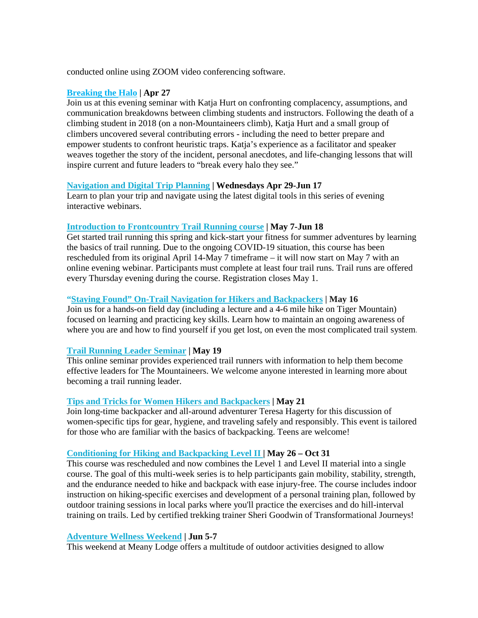conducted online using ZOOM video conferencing software.

#### **[Breaking the Halo](https://nam11.safelinks.protection.outlook.com/?url=https%3A%2F%2Fcl.s7.exct.net%2F%3Fqs%3D2575a30ead1d85ebfeabf07f2218046f839fe1568d8796a57079afb79f653398b1df00f85ca795cad4be909c928e6689f7e423cf46811b36&data=02%7C01%7C%7Cae2139babc8142f5cd6508d7c361206d%7C84df9e7fe9f640afb435aaaaaaaaaaaa%7C1%7C0%7C637192694228006270&sdata=hf85em7U0juk9%2FdqVKcp3TnWNvgFkyILDkPjOe1utdg%3D&reserved=0) | Apr 27**

Join us at this evening seminar with Katja Hurt on confronting complacency, assumptions, and communication breakdowns between climbing students and instructors. Following the death of a climbing student in 2018 (on a non-Mountaineers climb), Katja Hurt and a small group of climbers uncovered several contributing errors - including the need to better prepare and empower students to confront heuristic traps. Katja's experience as a facilitator and speaker weaves together the story of the incident, personal anecdotes, and life-changing lessons that will inspire current and future leaders to "break every halo they see."

#### **[Navigation and Digital Trip Planning](https://www.mountaineers.org/locations-lodges/foothills-branch/committees/foothills-navigation-committee/course-templates/digital-navigation-and-trip-planning-foothills-1/digital-navigation-and-trip-planning-foothills-2020) | Wednesdays Apr 29-Jun 17**

Learn to plan your trip and navigate using the latest digital tools in this series of evening interactive webinars.

#### **[Introduction to Frontcountry Trail Running course](https://www.mountaineers.org/locations-lodges/foothills-branch/committees/foothills-branch-trail-running-committee/course-templates/introduction-to-trail-running-frontcountry-foothills/introduction-to-trail-running-frontcountry-2020) | May 7-Jun 18**

Get started trail running this spring and kick-start your fitness for summer adventures by learning the basics of trail running. Due to the ongoing COVID-19 situation, this course has been rescheduled from its original April 14-May 7 timeframe – it will now start on May 7 with an online evening webinar. Participants must complete at least four trail runs. Trail runs are offered every Thursday evening during the course. Registration closes May 1.

#### **["Staying Found" On-Trail Navigation for Hikers and Backpackers](https://www.mountaineers.org/locations-lodges/foothills-branch/committees/foothills-navigation-committee/seminars-clinics/staying-found-basic-navigation-for-hikers-and-backpackers-tradition-plateau-interpretive-shelter-1) | May 16**

Join us for a hands-on field day (including a lecture and a 4-6 mile hike on Tiger Mountain) focused on learning and practicing key skills. Learn how to maintain an ongoing awareness of where you are and how to find yourself if you get lost, on even the most complicated trail system.

### **Trail Running [Leader Seminar](https://www.mountaineers.org/locations-lodges/foothills-branch/committees/foothills-branch-trail-running-committee/seminars-clinics/trail-running-leader-seminar-online-classroom) | May 19**

This online seminar provides experienced trail runners with information to help them become effective leaders for The Mountaineers. We welcome anyone interested in learning more about becoming a trail running leader.

#### **[Tips and Tricks for Women Hikers and Backpackers](https://www.mountaineers.org/locations-lodges/foothills-branch/committees/foothills-hiking-backpacking/foothills-backpacking-committee/seminars-clinics/tips-and-tricks-for-women-hikers-and-backpackers-mountaineers-seattle-program-center-3) | May 21**

Join long-time backpacker and all-around adventurer Teresa Hagerty for this discussion of women-specific tips for gear, hygiene, and traveling safely and responsibly. This event is tailored for those who are familiar with the basics of backpacking. Teens are welcome!

#### **[Conditioning for Hiking and Backpacking Level II](https://nam11.safelinks.protection.outlook.com/?url=https%3A%2F%2Fcl.s7.exct.net%2F%3Fqs%3D2575a30ead1d85eba7fbbfd75fb433a834cdec6a42235b71294d2dc41be273778d4371ce84c6201487477b3c4397c375d21174d8a52a1a1f&data=02%7C01%7C%7Cae2139babc8142f5cd6508d7c361206d%7C84df9e7fe9f640afb435aaaaaaaaaaaa%7C1%7C0%7C637192694228046247&sdata=q%2BMDr3TLNQr4S7OR6NZxKsrRTTeXtNmmHizrxKee0kA%3D&reserved=0) | May 26 – Oct 31**

This course was rescheduled and now combines the Level 1 and Level II material into a single course. The goal of this multi-week series is to help participants gain mobility, stability, strength, and the endurance needed to hike and backpack with ease injury-free. The course includes indoor instruction on hiking-specific exercises and development of a personal training plan, followed by outdoor training sessions in local parks where you'll practice the exercises and do hill-interval training on trails. Led by certified trekking trainer Sheri Goodwin of Transformational Journeys!

#### **[Adventure Wellness Weekend](https://nam11.safelinks.protection.outlook.com/?url=https%3A%2F%2Fcl.s7.exct.net%2F%3Fqs%3D2575a30ead1d85eb51cc685284f8815e9c73631726b9fdd8d2759dfaab53468fca8cbeecd256dac095dbbd1553ffedeeea51ea8cabd78014&data=02%7C01%7C%7Cae2139babc8142f5cd6508d7c361206d%7C84df9e7fe9f640afb435aaaaaaaaaaaa%7C1%7C0%7C637192694228006270&sdata=jEB5%2BF%2FJcpV1B8wDyVjrkIKkf751MZ7O4DW7GQ5DZvM%3D&reserved=0) | Jun 5-7**

This weekend at Meany Lodge offers a multitude of outdoor activities designed to allow